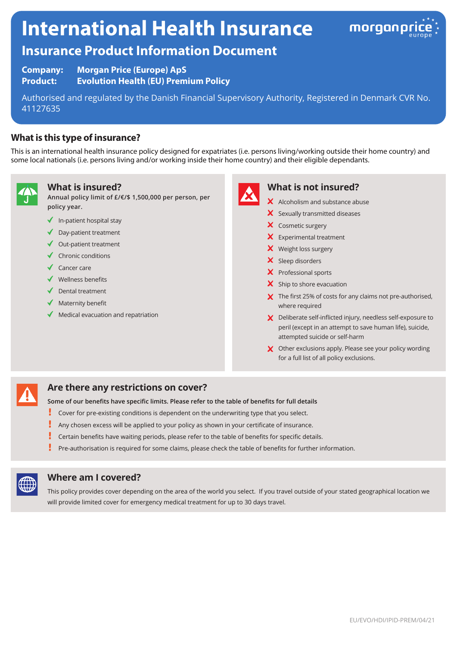# **International Health Insurance**



# **Insurance Product Information Document**

**Company: Morgan Price (Europe) ApS Product: Evolution Health (EU) Premium Policy**

Authorised and regulated by the Danish Financial Supervisory Authority, Registered in Denmark CVR No. 41127635

## **What is this type of insurance?**

This is an international health insurance policy designed for expatriates (i.e. persons living/working outside their home country) and some local nationals (i.e. persons living and/or working inside their home country) and their eligible dependants.



#### **What is insured?**

**Annual policy limit of £/€/\$ 1,500,000 per person, per policy year.**

- $\blacklozenge$  In-patient hospital stay
- ◆ Day-patient treatment
- $\triangleleft$  Out-patient treatment
- $\checkmark$  Chronic conditions
- $\sqrt{\phantom{a}}$  Cancer care
- $\checkmark$  Wellness benefits
- Dental treatment
- Maternity benefit
- Medical evacuation and repatriation



#### **What is not insured?**

- X Alcoholism and substance abuse
- $\boldsymbol{\times}$  Sexually transmitted diseases
- X Cosmetic surgery
- **X** Experimental treatment
- X Weight loss surgery
- $\boldsymbol{\times}$  Sleep disorders
- X Professional sports
- $\boldsymbol{\times}$  Ship to shore evacuation
- X The first 25% of costs for any claims not pre-authorised, where required
- X Deliberate self-inflicted injury, needless self-exposure to peril (except in an attempt to save human life), suicide, attempted suicide or self-harm
- X Other exclusions apply. Please see your policy wording for a full list of all policy exclusions.

### **Are there any restrictions on cover?**

- **Some of our benefits have specific limits. Please refer to the table of benefits for full details**
- Į Cover for pre-existing conditions is dependent on the underwriting type that you select.
- Į Any chosen excess will be applied to your policy as shown in your certificate of insurance.
- Certain benefits have waiting periods, please refer to the table of benefits for specific details.
- Pre-authorisation is required for some claims, please check the table of benefits for further information.



#### **Where am I covered?**

This policy provides cover depending on the area of the world you select. If you travel outside of your stated geographical location we will provide limited cover for emergency medical treatment for up to 30 days travel.